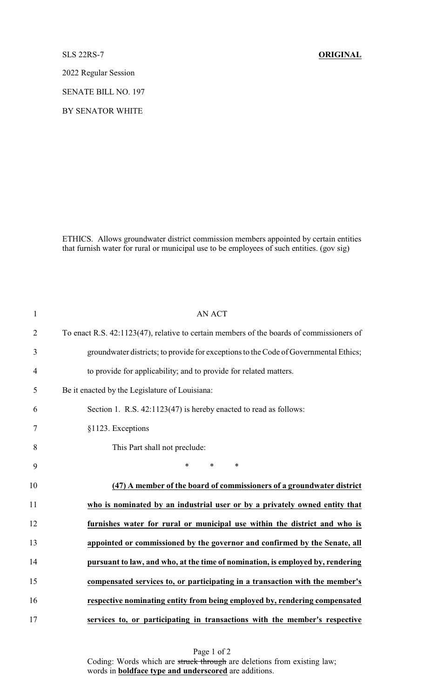2022 Regular Session

SENATE BILL NO. 197

BY SENATOR WHITE

ETHICS. Allows groundwater district commission members appointed by certain entities that furnish water for rural or municipal use to be employees of such entities. (gov sig)

| $\mathbf{1}$   | <b>AN ACT</b>                                                                            |
|----------------|------------------------------------------------------------------------------------------|
| $\overline{2}$ | To enact R.S. 42:1123(47), relative to certain members of the boards of commissioners of |
| 3              | groundwater districts; to provide for exceptions to the Code of Governmental Ethics;     |
| $\overline{4}$ | to provide for applicability; and to provide for related matters.                        |
| 5              | Be it enacted by the Legislature of Louisiana:                                           |
| 6              | Section 1. R.S. 42:1123(47) is hereby enacted to read as follows:                        |
| 7              | §1123. Exceptions                                                                        |
| 8              | This Part shall not preclude:                                                            |
| 9              | $*$ $*$<br>*<br>$\ast$                                                                   |
| 10             | (47) A member of the board of commissioners of a groundwater district                    |
| 11             | who is nominated by an industrial user or by a privately owned entity that               |
| 12             | furnishes water for rural or municipal use within the district and who is                |
| 13             | appointed or commissioned by the governor and confirmed by the Senate, all               |
| 14             | pursuant to law, and who, at the time of nomination, is employed by, rendering           |
| 15             | compensated services to, or participating in a transaction with the member's             |
| 16             | respective nominating entity from being employed by, rendering compensated               |
| 17             | services to, or participating in transactions with the member's respective               |

Page 1 of 2 Coding: Words which are struck through are deletions from existing law; words in **boldface type and underscored** are additions.